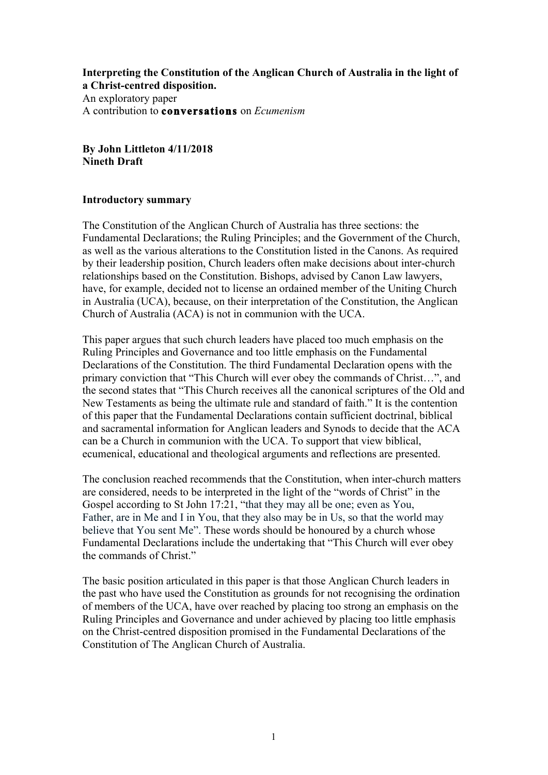**Interpreting the Constitution of the Anglican Church of Australia in the light of a Christ-centred disposition.**  An exploratory paper A contribution to **conversations** on *Ecumenism*

**By John Littleton 4/11/2018 Nineth Draft**

#### **Introductory summary**

The Constitution of the Anglican Church of Australia has three sections: the Fundamental Declarations; the Ruling Principles; and the Government of the Church, as well as the various alterations to the Constitution listed in the Canons. As required by their leadership position, Church leaders often make decisions about inter-church relationships based on the Constitution. Bishops, advised by Canon Law lawyers, have, for example, decided not to license an ordained member of the Uniting Church in Australia (UCA), because, on their interpretation of the Constitution, the Anglican Church of Australia (ACA) is not in communion with the UCA.

This paper argues that such church leaders have placed too much emphasis on the Ruling Principles and Governance and too little emphasis on the Fundamental Declarations of the Constitution. The third Fundamental Declaration opens with the primary conviction that "This Church will ever obey the commands of Christ…", and the second states that "This Church receives all the canonical scriptures of the Old and New Testaments as being the ultimate rule and standard of faith." It is the contention of this paper that the Fundamental Declarations contain sufficient doctrinal, biblical and sacramental information for Anglican leaders and Synods to decide that the ACA can be a Church in communion with the UCA. To support that view biblical, ecumenical, educational and theological arguments and reflections are presented.

The conclusion reached recommends that the Constitution, when inter-church matters are considered, needs to be interpreted in the light of the "words of Christ" in the Gospel according to St John 17:21, "that they may all be one; even as You, Father, are in Me and I in You, that they also may be in Us, so that the world may believe that You sent Me". These words should be honoured by a church whose Fundamental Declarations include the undertaking that "This Church will ever obey the commands of Christ."

The basic position articulated in this paper is that those Anglican Church leaders in the past who have used the Constitution as grounds for not recognising the ordination of members of the UCA, have over reached by placing too strong an emphasis on the Ruling Principles and Governance and under achieved by placing too little emphasis on the Christ-centred disposition promised in the Fundamental Declarations of the Constitution of The Anglican Church of Australia.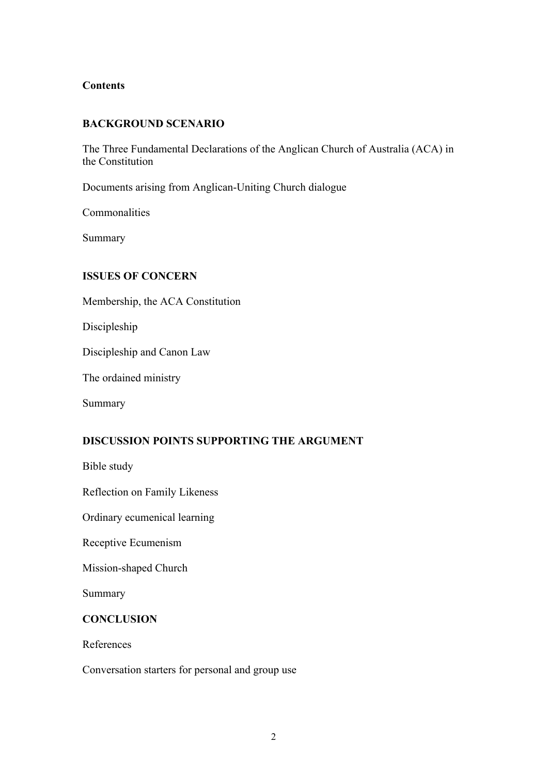### **Contents**

## **BACKGROUND SCENARIO**

The Three Fundamental Declarations of the Anglican Church of Australia (ACA) in the Constitution

Documents arising from Anglican-Uniting Church dialogue

Commonalities

Summary

## **ISSUES OF CONCERN**

Membership, the ACA Constitution

Discipleship

Discipleship and Canon Law

The ordained ministry

Summary

# **DISCUSSION POINTS SUPPORTING THE ARGUMENT**

Bible study

Reflection on Family Likeness

Ordinary ecumenical learning

Receptive Ecumenism

Mission-shaped Church

Summary

### **CONCLUSION**

References

Conversation starters for personal and group use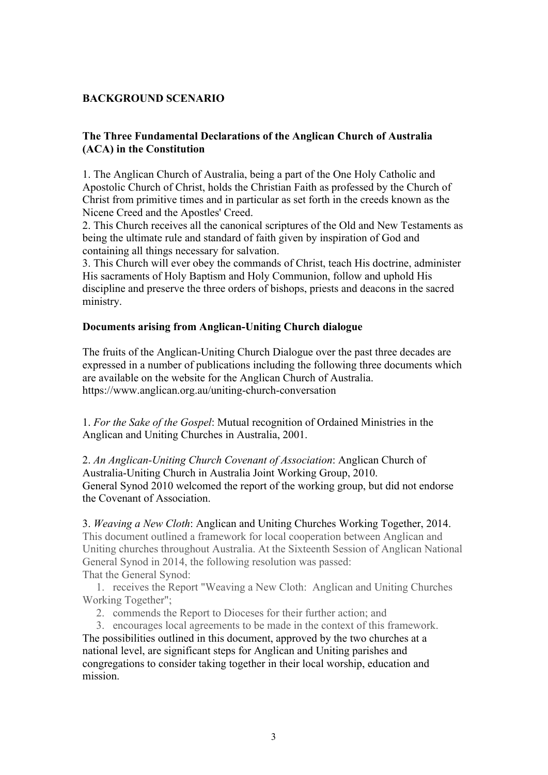# **BACKGROUND SCENARIO**

# **The Three Fundamental Declarations of the Anglican Church of Australia (ACA) in the Constitution**

1. The Anglican Church of Australia, being a part of the One Holy Catholic and Apostolic Church of Christ, holds the Christian Faith as professed by the Church of Christ from primitive times and in particular as set forth in the creeds known as the Nicene Creed and the Apostles' Creed.

2. This Church receives all the canonical scriptures of the Old and New Testaments as being the ultimate rule and standard of faith given by inspiration of God and containing all things necessary for salvation.

3. This Church will ever obey the commands of Christ, teach His doctrine, administer His sacraments of Holy Baptism and Holy Communion, follow and uphold His discipline and preserve the three orders of bishops, priests and deacons in the sacred ministry.

## **Documents arising from Anglican-Uniting Church dialogue**

The fruits of the Anglican-Uniting Church Dialogue over the past three decades are expressed in a number of publications including the following three documents which are available on the website for the Anglican Church of Australia. https://www.anglican.org.au/uniting-church-conversation

1. *For the Sake of the Gospel*: Mutual recognition of Ordained Ministries in the Anglican and Uniting Churches in Australia, 2001.

2. *An Anglican-Uniting Church Covenant of Association*: Anglican Church of Australia-Uniting Church in Australia Joint Working Group, 2010. General Synod 2010 welcomed the report of the working group, but did not endorse the Covenant of Association.

# 3. *Weaving a New Cloth*: Anglican and Uniting Churches Working Together, 2014.

This document outlined a framework for local cooperation between Anglican and Uniting churches throughout Australia. At the Sixteenth Session of Anglican National General Synod in 2014, the following resolution was passed: That the General Synod:

1. receives the Report "Weaving a New Cloth: Anglican and Uniting Churches Working Together";

2. commends the Report to Dioceses for their further action; and

3. encourages local agreements to be made in the context of this framework. The possibilities outlined in this document, approved by the two churches at a national level, are significant steps for Anglican and Uniting parishes and congregations to consider taking together in their local worship, education and mission.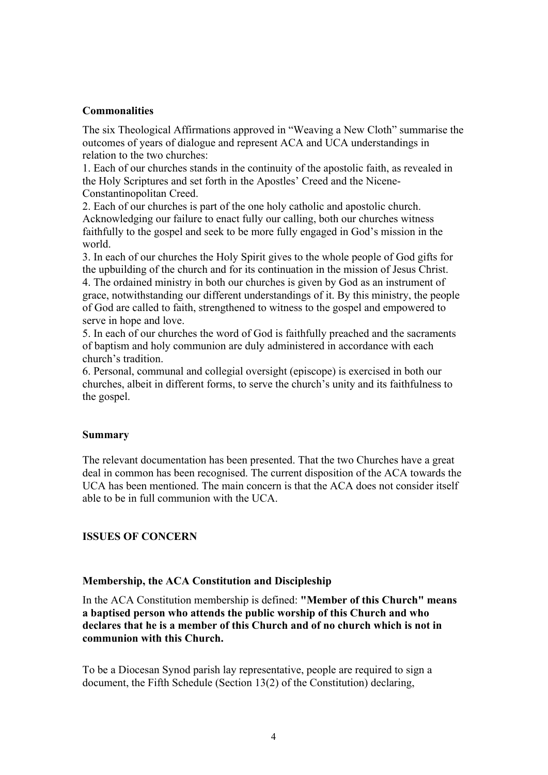### **Commonalities**

The six Theological Affirmations approved in "Weaving a New Cloth" summarise the outcomes of years of dialogue and represent ACA and UCA understandings in relation to the two churches:

1. Each of our churches stands in the continuity of the apostolic faith, as revealed in the Holy Scriptures and set forth in the Apostles' Creed and the Nicene-Constantinopolitan Creed.

2. Each of our churches is part of the one holy catholic and apostolic church. Acknowledging our failure to enact fully our calling, both our churches witness faithfully to the gospel and seek to be more fully engaged in God's mission in the world.

3. In each of our churches the Holy Spirit gives to the whole people of God gifts for the upbuilding of the church and for its continuation in the mission of Jesus Christ. 4. The ordained ministry in both our churches is given by God as an instrument of grace, notwithstanding our different understandings of it. By this ministry, the people of God are called to faith, strengthened to witness to the gospel and empowered to serve in hope and love.

5. In each of our churches the word of God is faithfully preached and the sacraments of baptism and holy communion are duly administered in accordance with each church's tradition.

6. Personal, communal and collegial oversight (episcope) is exercised in both our churches, albeit in different forms, to serve the church's unity and its faithfulness to the gospel.

### **Summary**

The relevant documentation has been presented. That the two Churches have a great deal in common has been recognised. The current disposition of the ACA towards the UCA has been mentioned. The main concern is that the ACA does not consider itself able to be in full communion with the UCA.

# **ISSUES OF CONCERN**

### **Membership, the ACA Constitution and Discipleship**

In the ACA Constitution membership is defined: **"Member of this Church" means a baptised person who attends the public worship of this Church and who declares that he is a member of this Church and of no church which is not in communion with this Church.** 

To be a Diocesan Synod parish lay representative, people are required to sign a document, the Fifth Schedule (Section 13(2) of the Constitution) declaring,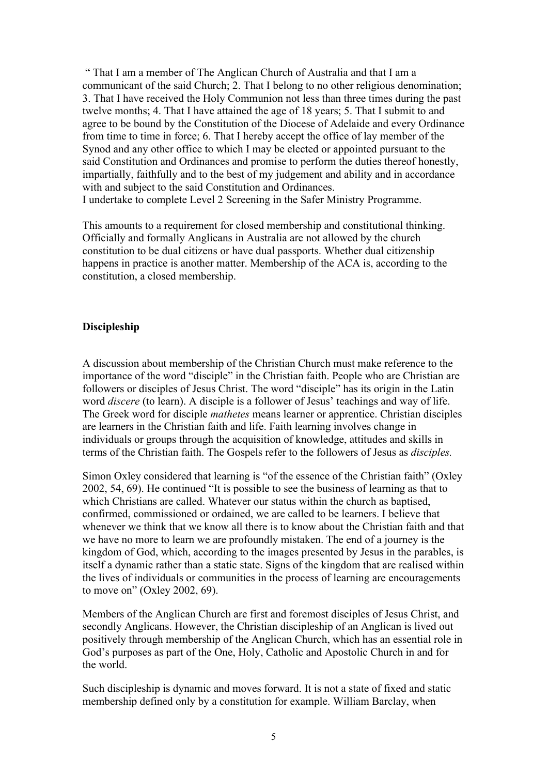" That I am a member of The Anglican Church of Australia and that I am a communicant of the said Church; 2. That I belong to no other religious denomination; 3. That I have received the Holy Communion not less than three times during the past twelve months; 4. That I have attained the age of 18 years; 5. That I submit to and agree to be bound by the Constitution of the Diocese of Adelaide and every Ordinance from time to time in force; 6. That I hereby accept the office of lay member of the Synod and any other office to which I may be elected or appointed pursuant to the said Constitution and Ordinances and promise to perform the duties thereof honestly, impartially, faithfully and to the best of my judgement and ability and in accordance with and subject to the said Constitution and Ordinances.

I undertake to complete Level 2 Screening in the Safer Ministry Programme.

This amounts to a requirement for closed membership and constitutional thinking. Officially and formally Anglicans in Australia are not allowed by the church constitution to be dual citizens or have dual passports. Whether dual citizenship happens in practice is another matter. Membership of the ACA is, according to the constitution, a closed membership.

# **Discipleship**

A discussion about membership of the Christian Church must make reference to the importance of the word "disciple" in the Christian faith. People who are Christian are followers or disciples of Jesus Christ. The word "disciple" has its origin in the Latin word *discere* (to learn). A disciple is a follower of Jesus' teachings and way of life. The Greek word for disciple *mathetes* means learner or apprentice. Christian disciples are learners in the Christian faith and life. Faith learning involves change in individuals or groups through the acquisition of knowledge, attitudes and skills in terms of the Christian faith. The Gospels refer to the followers of Jesus as *disciples.*

Simon Oxley considered that learning is "of the essence of the Christian faith" (Oxley 2002, 54, 69). He continued "It is possible to see the business of learning as that to which Christians are called. Whatever our status within the church as baptised, confirmed, commissioned or ordained, we are called to be learners. I believe that whenever we think that we know all there is to know about the Christian faith and that we have no more to learn we are profoundly mistaken. The end of a journey is the kingdom of God, which, according to the images presented by Jesus in the parables, is itself a dynamic rather than a static state. Signs of the kingdom that are realised within the lives of individuals or communities in the process of learning are encouragements to move on" (Oxley 2002, 69).

Members of the Anglican Church are first and foremost disciples of Jesus Christ, and secondly Anglicans. However, the Christian discipleship of an Anglican is lived out positively through membership of the Anglican Church, which has an essential role in God's purposes as part of the One, Holy, Catholic and Apostolic Church in and for the world.

Such discipleship is dynamic and moves forward. It is not a state of fixed and static membership defined only by a constitution for example. William Barclay, when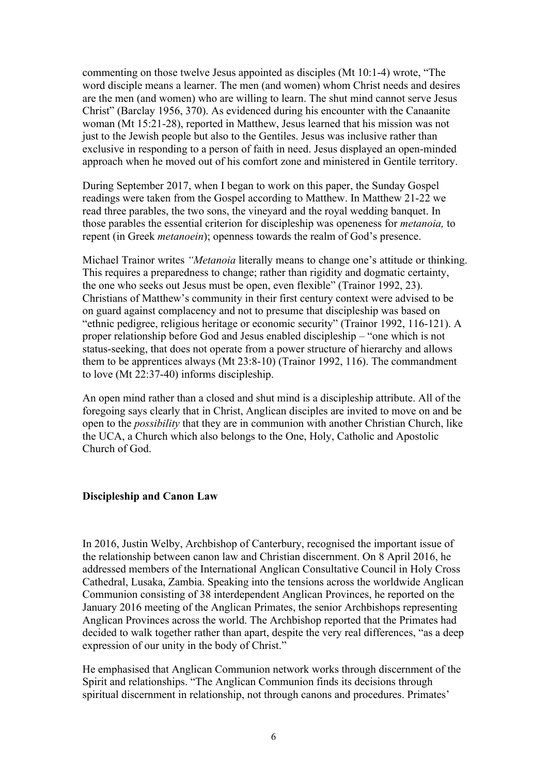commenting on those twelve Jesus appointed as disciples (Mt 10:1-4) wrote, "The word disciple means a learner. The men (and women) whom Christ needs and desires are the men (and women) who are willing to learn. The shut mind cannot serve Jesus Christ" (Barclay 1956, 370). As evidenced during his encounter with the Canaanite woman (Mt 15:21-28), reported in Matthew, Jesus learned that his mission was not just to the Jewish people but also to the Gentiles. Jesus was inclusive rather than exclusive in responding to a person of faith in need. Jesus displayed an open-minded approach when he moved out of his comfort zone and ministered in Gentile territory.

During September 2017, when I began to work on this paper, the Sunday Gospel readings were taken from the Gospel according to Matthew. In Matthew 21-22 we read three parables, the two sons, the vineyard and the royal wedding banquet. In those parables the essential criterion for discipleship was openeness for *metanoia,* to repent (in Greek *metanoein*); openness towards the realm of God's presence.

Michael Trainor writes *"Metanoia* literally means to change one's attitude or thinking. This requires a preparedness to change; rather than rigidity and dogmatic certainty, the one who seeks out Jesus must be open, even flexible" (Trainor 1992, 23). Christians of Matthew's community in their first century context were advised to be on guard against complacency and not to presume that discipleship was based on "ethnic pedigree, religious heritage or economic security" (Trainor 1992, 116-121). A proper relationship before God and Jesus enabled discipleship – "one which is not status-seeking, that does not operate from a power structure of hierarchy and allows them to be apprentices always (Mt 23:8-10) (Trainor 1992, 116). The commandment to love (Mt 22:37-40) informs discipleship.

An open mind rather than a closed and shut mind is a discipleship attribute. All of the foregoing says clearly that in Christ, Anglican disciples are invited to move on and be open to the *possibility* that they are in communion with another Christian Church, like the UCA, a Church which also belongs to the One, Holy, Catholic and Apostolic Church of God.

### **Discipleship and Canon Law**

In 2016, Justin Welby, Archbishop of Canterbury, recognised the important issue of the relationship between canon law and Christian discernment. On 8 April 2016, he addressed members of the International Anglican Consultative Council in Holy Cross Cathedral, Lusaka, Zambia. Speaking into the tensions across the worldwide Anglican Communion consisting of 38 interdependent Anglican Provinces, he reported on the January 2016 meeting of the Anglican Primates, the senior Archbishops representing Anglican Provinces across the world. The Archbishop reported that the Primates had decided to walk together rather than apart, despite the very real differences, "as a deep expression of our unity in the body of Christ."

He emphasised that Anglican Communion network works through discernment of the Spirit and relationships. "The Anglican Communion finds its decisions through spiritual discernment in relationship, not through canons and procedures. Primates'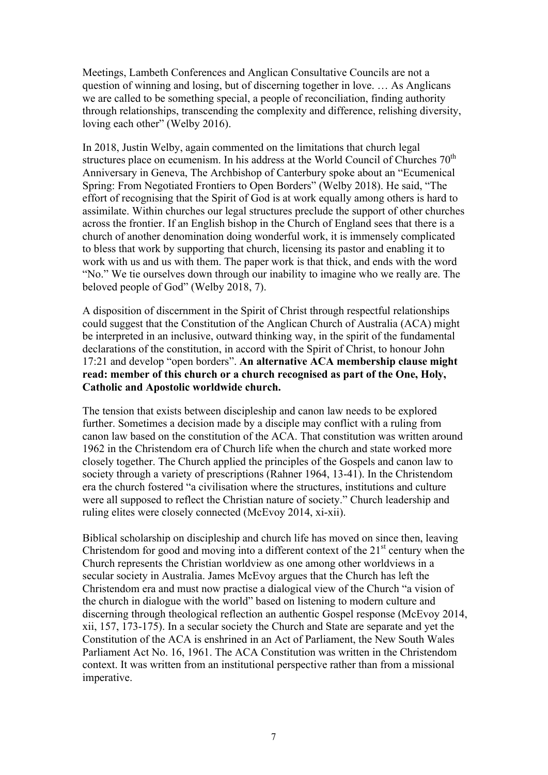Meetings, Lambeth Conferences and Anglican Consultative Councils are not a question of winning and losing, but of discerning together in love. … As Anglicans we are called to be something special, a people of reconciliation, finding authority through relationships, transcending the complexity and difference, relishing diversity, loving each other" (Welby 2016).

In 2018, Justin Welby, again commented on the limitations that church legal structures place on ecumenism. In his address at the World Council of Churches  $70<sup>th</sup>$ Anniversary in Geneva, The Archbishop of Canterbury spoke about an "Ecumenical Spring: From Negotiated Frontiers to Open Borders" (Welby 2018). He said, "The effort of recognising that the Spirit of God is at work equally among others is hard to assimilate. Within churches our legal structures preclude the support of other churches across the frontier. If an English bishop in the Church of England sees that there is a church of another denomination doing wonderful work, it is immensely complicated to bless that work by supporting that church, licensing its pastor and enabling it to work with us and us with them. The paper work is that thick, and ends with the word "No." We tie ourselves down through our inability to imagine who we really are. The beloved people of God" (Welby 2018, 7).

A disposition of discernment in the Spirit of Christ through respectful relationships could suggest that the Constitution of the Anglican Church of Australia (ACA) might be interpreted in an inclusive, outward thinking way, in the spirit of the fundamental declarations of the constitution, in accord with the Spirit of Christ, to honour John 17:21 and develop "open borders". **An alternative ACA membership clause might read: member of this church or a church recognised as part of the One, Holy, Catholic and Apostolic worldwide church.**

The tension that exists between discipleship and canon law needs to be explored further. Sometimes a decision made by a disciple may conflict with a ruling from canon law based on the constitution of the ACA. That constitution was written around 1962 in the Christendom era of Church life when the church and state worked more closely together. The Church applied the principles of the Gospels and canon law to society through a variety of prescriptions (Rahner 1964, 13-41). In the Christendom era the church fostered "a civilisation where the structures, institutions and culture were all supposed to reflect the Christian nature of society." Church leadership and ruling elites were closely connected (McEvoy 2014, xi-xii).

Biblical scholarship on discipleship and church life has moved on since then, leaving Christendom for good and moving into a different context of the  $21<sup>st</sup>$  century when the Church represents the Christian worldview as one among other worldviews in a secular society in Australia. James McEvoy argues that the Church has left the Christendom era and must now practise a dialogical view of the Church "a vision of the church in dialogue with the world" based on listening to modern culture and discerning through theological reflection an authentic Gospel response (McEvoy 2014, xii, 157, 173-175). In a secular society the Church and State are separate and yet the Constitution of the ACA is enshrined in an Act of Parliament, the New South Wales Parliament Act No. 16, 1961. The ACA Constitution was written in the Christendom context. It was written from an institutional perspective rather than from a missional imperative.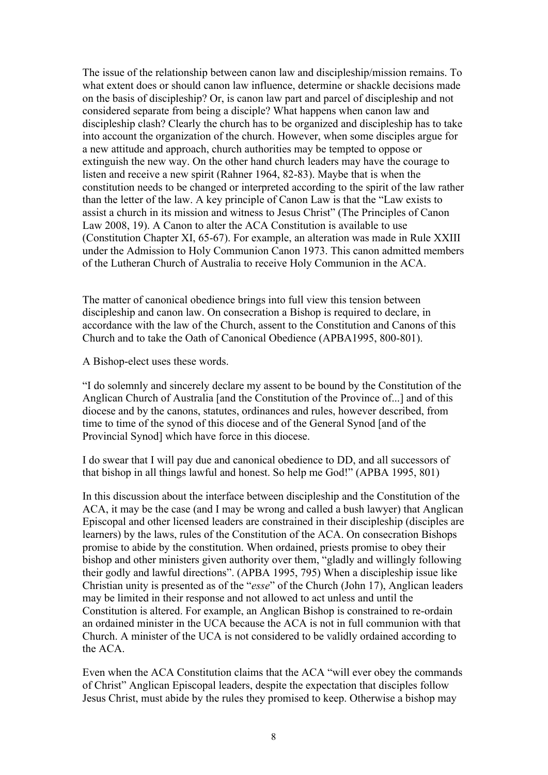The issue of the relationship between canon law and discipleship/mission remains. To what extent does or should canon law influence, determine or shackle decisions made on the basis of discipleship? Or, is canon law part and parcel of discipleship and not considered separate from being a disciple? What happens when canon law and discipleship clash? Clearly the church has to be organized and discipleship has to take into account the organization of the church. However, when some disciples argue for a new attitude and approach, church authorities may be tempted to oppose or extinguish the new way. On the other hand church leaders may have the courage to listen and receive a new spirit (Rahner 1964, 82-83). Maybe that is when the constitution needs to be changed or interpreted according to the spirit of the law rather than the letter of the law. A key principle of Canon Law is that the "Law exists to assist a church in its mission and witness to Jesus Christ" (The Principles of Canon Law 2008, 19). A Canon to alter the ACA Constitution is available to use (Constitution Chapter XI, 65-67). For example, an alteration was made in Rule XXIII under the Admission to Holy Communion Canon 1973. This canon admitted members of the Lutheran Church of Australia to receive Holy Communion in the ACA.

The matter of canonical obedience brings into full view this tension between discipleship and canon law. On consecration a Bishop is required to declare, in accordance with the law of the Church, assent to the Constitution and Canons of this Church and to take the Oath of Canonical Obedience (APBA1995, 800-801).

A Bishop-elect uses these words.

"I do solemnly and sincerely declare my assent to be bound by the Constitution of the Anglican Church of Australia [and the Constitution of the Province of...] and of this diocese and by the canons, statutes, ordinances and rules, however described, from time to time of the synod of this diocese and of the General Synod [and of the Provincial Synod] which have force in this diocese.

I do swear that I will pay due and canonical obedience to DD, and all successors of that bishop in all things lawful and honest. So help me God!" (APBA 1995, 801)

In this discussion about the interface between discipleship and the Constitution of the ACA, it may be the case (and I may be wrong and called a bush lawyer) that Anglican Episcopal and other licensed leaders are constrained in their discipleship (disciples are learners) by the laws, rules of the Constitution of the ACA. On consecration Bishops promise to abide by the constitution. When ordained, priests promise to obey their bishop and other ministers given authority over them, "gladly and willingly following their godly and lawful directions". (APBA 1995, 795) When a discipleship issue like Christian unity is presented as of the "*esse*" of the Church (John 17), Anglican leaders may be limited in their response and not allowed to act unless and until the Constitution is altered. For example, an Anglican Bishop is constrained to re-ordain an ordained minister in the UCA because the ACA is not in full communion with that Church. A minister of the UCA is not considered to be validly ordained according to the ACA.

Even when the ACA Constitution claims that the ACA "will ever obey the commands of Christ" Anglican Episcopal leaders, despite the expectation that disciples follow Jesus Christ, must abide by the rules they promised to keep. Otherwise a bishop may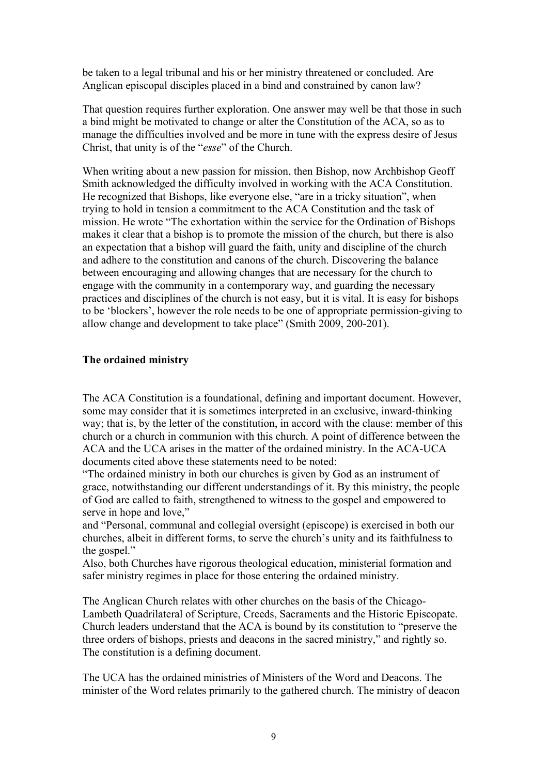be taken to a legal tribunal and his or her ministry threatened or concluded. Are Anglican episcopal disciples placed in a bind and constrained by canon law?

That question requires further exploration. One answer may well be that those in such a bind might be motivated to change or alter the Constitution of the ACA, so as to manage the difficulties involved and be more in tune with the express desire of Jesus Christ, that unity is of the "*esse*" of the Church.

When writing about a new passion for mission, then Bishop, now Archbishop Geoff Smith acknowledged the difficulty involved in working with the ACA Constitution. He recognized that Bishops, like everyone else, "are in a tricky situation", when trying to hold in tension a commitment to the ACA Constitution and the task of mission. He wrote "The exhortation within the service for the Ordination of Bishops makes it clear that a bishop is to promote the mission of the church, but there is also an expectation that a bishop will guard the faith, unity and discipline of the church and adhere to the constitution and canons of the church. Discovering the balance between encouraging and allowing changes that are necessary for the church to engage with the community in a contemporary way, and guarding the necessary practices and disciplines of the church is not easy, but it is vital. It is easy for bishops to be 'blockers', however the role needs to be one of appropriate permission-giving to allow change and development to take place" (Smith 2009, 200-201).

### **The ordained ministry**

The ACA Constitution is a foundational, defining and important document. However, some may consider that it is sometimes interpreted in an exclusive, inward-thinking way; that is, by the letter of the constitution, in accord with the clause: member of this church or a church in communion with this church. A point of difference between the ACA and the UCA arises in the matter of the ordained ministry. In the ACA-UCA documents cited above these statements need to be noted:

"The ordained ministry in both our churches is given by God as an instrument of grace, notwithstanding our different understandings of it. By this ministry, the people of God are called to faith, strengthened to witness to the gospel and empowered to serve in hope and love,"

and "Personal, communal and collegial oversight (episcope) is exercised in both our churches, albeit in different forms, to serve the church's unity and its faithfulness to the gospel."

Also, both Churches have rigorous theological education, ministerial formation and safer ministry regimes in place for those entering the ordained ministry.

The Anglican Church relates with other churches on the basis of the Chicago-Lambeth Quadrilateral of Scripture, Creeds, Sacraments and the Historic Episcopate. Church leaders understand that the ACA is bound by its constitution to "preserve the three orders of bishops, priests and deacons in the sacred ministry," and rightly so. The constitution is a defining document.

The UCA has the ordained ministries of Ministers of the Word and Deacons. The minister of the Word relates primarily to the gathered church. The ministry of deacon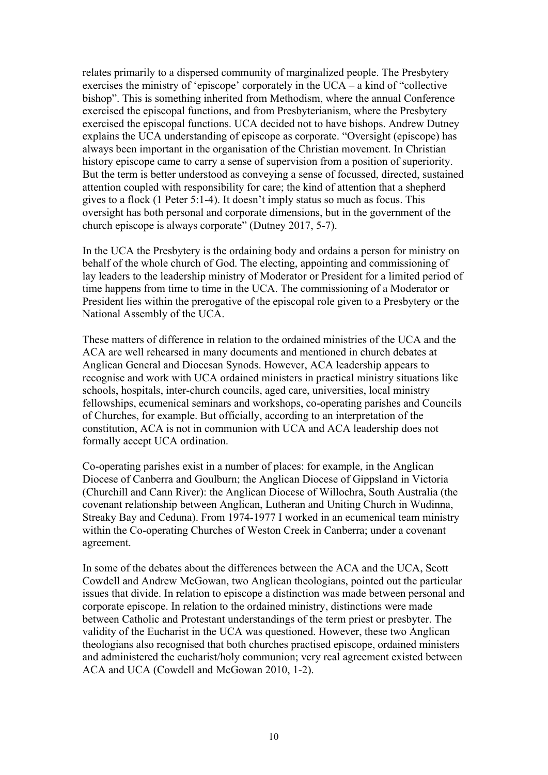relates primarily to a dispersed community of marginalized people. The Presbytery exercises the ministry of 'episcope' corporately in the UCA – a kind of "collective bishop". This is something inherited from Methodism, where the annual Conference exercised the episcopal functions, and from Presbyterianism, where the Presbytery exercised the episcopal functions. UCA decided not to have bishops. Andrew Dutney explains the UCA understanding of episcope as corporate. "Oversight (episcope) has always been important in the organisation of the Christian movement. In Christian history episcope came to carry a sense of supervision from a position of superiority. But the term is better understood as conveying a sense of focussed, directed, sustained attention coupled with responsibility for care; the kind of attention that a shepherd gives to a flock (1 Peter 5:1-4). It doesn't imply status so much as focus. This oversight has both personal and corporate dimensions, but in the government of the church episcope is always corporate" (Dutney 2017, 5-7).

In the UCA the Presbytery is the ordaining body and ordains a person for ministry on behalf of the whole church of God. The electing, appointing and commissioning of lay leaders to the leadership ministry of Moderator or President for a limited period of time happens from time to time in the UCA. The commissioning of a Moderator or President lies within the prerogative of the episcopal role given to a Presbytery or the National Assembly of the UCA.

These matters of difference in relation to the ordained ministries of the UCA and the ACA are well rehearsed in many documents and mentioned in church debates at Anglican General and Diocesan Synods. However, ACA leadership appears to recognise and work with UCA ordained ministers in practical ministry situations like schools, hospitals, inter-church councils, aged care, universities, local ministry fellowships, ecumenical seminars and workshops, co-operating parishes and Councils of Churches, for example. But officially, according to an interpretation of the constitution, ACA is not in communion with UCA and ACA leadership does not formally accept UCA ordination.

Co-operating parishes exist in a number of places: for example, in the Anglican Diocese of Canberra and Goulburn; the Anglican Diocese of Gippsland in Victoria (Churchill and Cann River): the Anglican Diocese of Willochra, South Australia (the covenant relationship between Anglican, Lutheran and Uniting Church in Wudinna, Streaky Bay and Ceduna). From 1974-1977 I worked in an ecumenical team ministry within the Co-operating Churches of Weston Creek in Canberra; under a covenant agreement.

In some of the debates about the differences between the ACA and the UCA, Scott Cowdell and Andrew McGowan, two Anglican theologians, pointed out the particular issues that divide. In relation to episcope a distinction was made between personal and corporate episcope. In relation to the ordained ministry, distinctions were made between Catholic and Protestant understandings of the term priest or presbyter. The validity of the Eucharist in the UCA was questioned. However, these two Anglican theologians also recognised that both churches practised episcope, ordained ministers and administered the eucharist/holy communion; very real agreement existed between ACA and UCA (Cowdell and McGowan 2010, 1-2).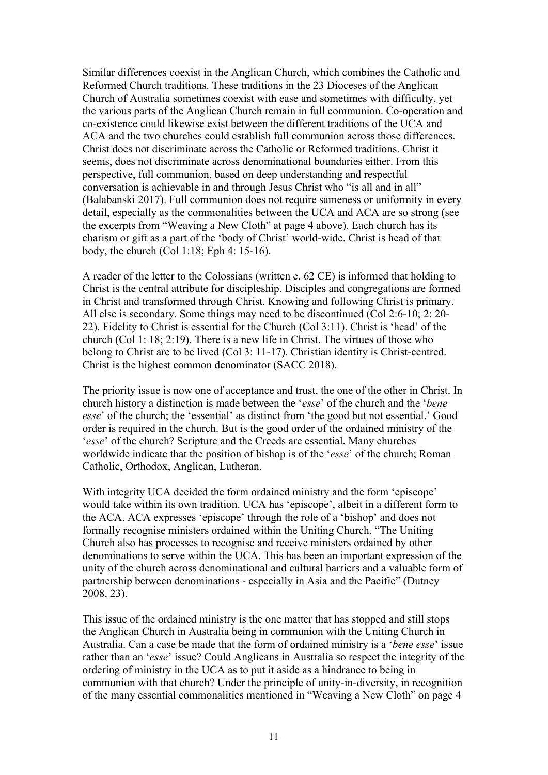Similar differences coexist in the Anglican Church, which combines the Catholic and Reformed Church traditions. These traditions in the 23 Dioceses of the Anglican Church of Australia sometimes coexist with ease and sometimes with difficulty, yet the various parts of the Anglican Church remain in full communion. Co-operation and co-existence could likewise exist between the different traditions of the UCA and ACA and the two churches could establish full communion across those differences. Christ does not discriminate across the Catholic or Reformed traditions. Christ it seems, does not discriminate across denominational boundaries either. From this perspective, full communion, based on deep understanding and respectful conversation is achievable in and through Jesus Christ who "is all and in all" (Balabanski 2017). Full communion does not require sameness or uniformity in every detail, especially as the commonalities between the UCA and ACA are so strong (see the excerpts from "Weaving a New Cloth" at page 4 above). Each church has its charism or gift as a part of the 'body of Christ' world-wide. Christ is head of that body, the church (Col 1:18; Eph 4: 15-16).

A reader of the letter to the Colossians (written c. 62 CE) is informed that holding to Christ is the central attribute for discipleship. Disciples and congregations are formed in Christ and transformed through Christ. Knowing and following Christ is primary. All else is secondary. Some things may need to be discontinued (Col 2:6-10; 2: 20- 22). Fidelity to Christ is essential for the Church (Col 3:11). Christ is 'head' of the church (Col 1: 18; 2:19). There is a new life in Christ. The virtues of those who belong to Christ are to be lived (Col 3: 11-17). Christian identity is Christ-centred. Christ is the highest common denominator (SACC 2018).

The priority issue is now one of acceptance and trust, the one of the other in Christ. In church history a distinction is made between the '*esse*' of the church and the '*bene esse*' of the church; the 'essential' as distinct from 'the good but not essential.' Good order is required in the church. But is the good order of the ordained ministry of the '*esse*' of the church? Scripture and the Creeds are essential. Many churches worldwide indicate that the position of bishop is of the '*esse*' of the church; Roman Catholic, Orthodox, Anglican, Lutheran.

With integrity UCA decided the form ordained ministry and the form 'episcope' would take within its own tradition. UCA has 'episcope', albeit in a different form to the ACA. ACA expresses 'episcope' through the role of a 'bishop' and does not formally recognise ministers ordained within the Uniting Church. "The Uniting Church also has processes to recognise and receive ministers ordained by other denominations to serve within the UCA. This has been an important expression of the unity of the church across denominational and cultural barriers and a valuable form of partnership between denominations - especially in Asia and the Pacific" (Dutney 2008, 23).

This issue of the ordained ministry is the one matter that has stopped and still stops the Anglican Church in Australia being in communion with the Uniting Church in Australia. Can a case be made that the form of ordained ministry is a '*bene esse*' issue rather than an '*esse*' issue? Could Anglicans in Australia so respect the integrity of the ordering of ministry in the UCA as to put it aside as a hindrance to being in communion with that church? Under the principle of unity-in-diversity, in recognition of the many essential commonalities mentioned in "Weaving a New Cloth" on page 4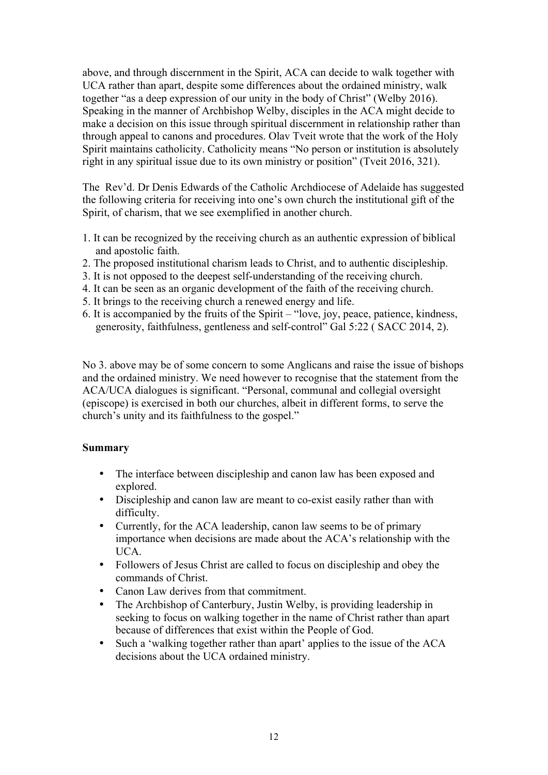above, and through discernment in the Spirit, ACA can decide to walk together with UCA rather than apart, despite some differences about the ordained ministry, walk together "as a deep expression of our unity in the body of Christ" (Welby 2016). Speaking in the manner of Archbishop Welby, disciples in the ACA might decide to make a decision on this issue through spiritual discernment in relationship rather than through appeal to canons and procedures. Olav Tveit wrote that the work of the Holy Spirit maintains catholicity. Catholicity means "No person or institution is absolutely right in any spiritual issue due to its own ministry or position" (Tveit 2016, 321).

The Rev'd. Dr Denis Edwards of the Catholic Archdiocese of Adelaide has suggested the following criteria for receiving into one's own church the institutional gift of the Spirit, of charism, that we see exemplified in another church.

- 1. It can be recognized by the receiving church as an authentic expression of biblical and apostolic faith.
- 2. The proposed institutional charism leads to Christ, and to authentic discipleship.
- 3. It is not opposed to the deepest self-understanding of the receiving church.
- 4. It can be seen as an organic development of the faith of the receiving church.
- 5. It brings to the receiving church a renewed energy and life.
- 6. It is accompanied by the fruits of the Spirit "love, joy, peace, patience, kindness, generosity, faithfulness, gentleness and self-control" Gal 5:22 ( SACC 2014, 2).

No 3. above may be of some concern to some Anglicans and raise the issue of bishops and the ordained ministry. We need however to recognise that the statement from the ACA/UCA dialogues is significant. "Personal, communal and collegial oversight (episcope) is exercised in both our churches, albeit in different forms, to serve the church's unity and its faithfulness to the gospel."

# **Summary**

- The interface between discipleship and canon law has been exposed and explored.
- Discipleship and canon law are meant to co-exist easily rather than with difficulty.
- Currently, for the ACA leadership, canon law seems to be of primary importance when decisions are made about the ACA's relationship with the UCA.
- Followers of Jesus Christ are called to focus on discipleship and obey the commands of Christ.
- Canon Law derives from that commitment.
- The Archbishop of Canterbury, Justin Welby, is providing leadership in seeking to focus on walking together in the name of Christ rather than apart because of differences that exist within the People of God.
- Such a 'walking together rather than apart' applies to the issue of the ACA decisions about the UCA ordained ministry.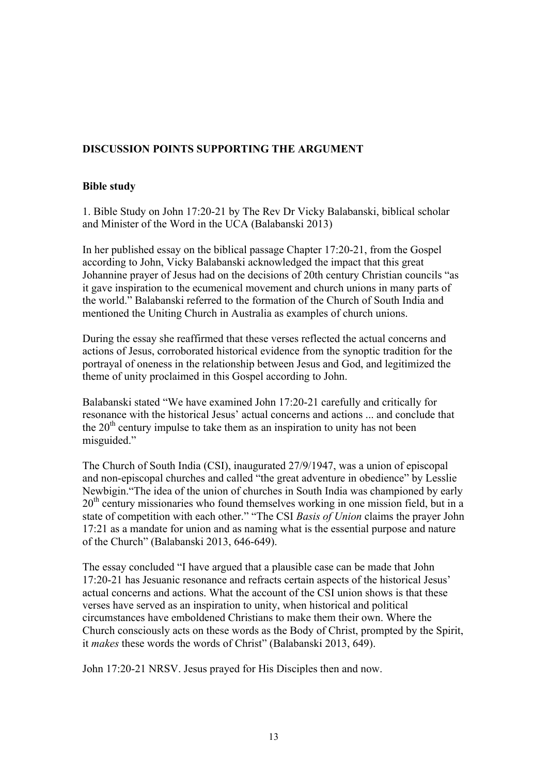# **DISCUSSION POINTS SUPPORTING THE ARGUMENT**

### **Bible study**

1. Bible Study on John 17:20-21 by The Rev Dr Vicky Balabanski, biblical scholar and Minister of the Word in the UCA (Balabanski 2013)

In her published essay on the biblical passage Chapter 17:20-21, from the Gospel according to John, Vicky Balabanski acknowledged the impact that this great Johannine prayer of Jesus had on the decisions of 20th century Christian councils "as it gave inspiration to the ecumenical movement and church unions in many parts of the world." Balabanski referred to the formation of the Church of South India and mentioned the Uniting Church in Australia as examples of church unions.

During the essay she reaffirmed that these verses reflected the actual concerns and actions of Jesus, corroborated historical evidence from the synoptic tradition for the portrayal of oneness in the relationship between Jesus and God, and legitimized the theme of unity proclaimed in this Gospel according to John.

Balabanski stated "We have examined John 17:20-21 carefully and critically for resonance with the historical Jesus' actual concerns and actions ... and conclude that the  $20<sup>th</sup>$  century impulse to take them as an inspiration to unity has not been misguided."

The Church of South India (CSI), inaugurated 27/9/1947, was a union of episcopal and non-episcopal churches and called "the great adventure in obedience" by Lesslie Newbigin."The idea of the union of churches in South India was championed by early 20<sup>th</sup> century missionaries who found themselves working in one mission field, but in a state of competition with each other." "The CSI *Basis of Union* claims the prayer John 17:21 as a mandate for union and as naming what is the essential purpose and nature of the Church" (Balabanski 2013, 646-649).

The essay concluded "I have argued that a plausible case can be made that John 17:20-21 has Jesuanic resonance and refracts certain aspects of the historical Jesus' actual concerns and actions. What the account of the CSI union shows is that these verses have served as an inspiration to unity, when historical and political circumstances have emboldened Christians to make them their own. Where the Church consciously acts on these words as the Body of Christ, prompted by the Spirit, it *makes* these words the words of Christ" (Balabanski 2013, 649).

John 17:20-21 NRSV. Jesus prayed for His Disciples then and now.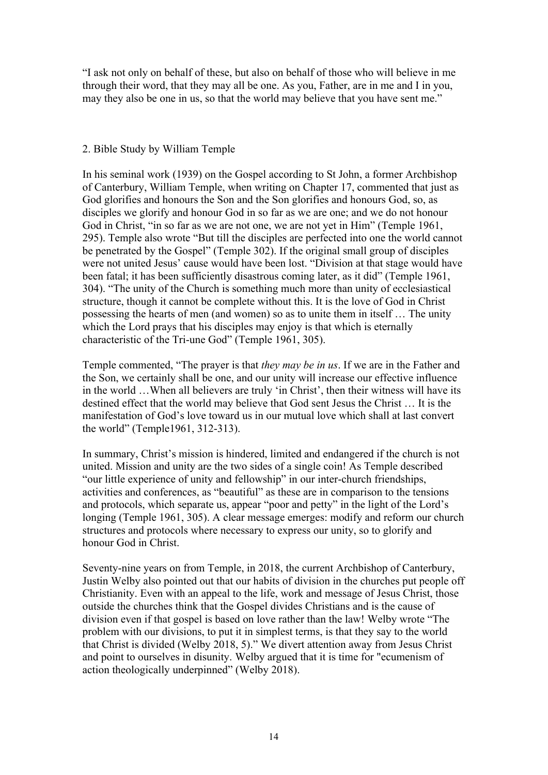"I ask not only on behalf of these, but also on behalf of those who will believe in me through their word, that they may all be one. As you, Father, are in me and I in you, may they also be one in us, so that the world may believe that you have sent me."

## 2. Bible Study by William Temple

In his seminal work (1939) on the Gospel according to St John, a former Archbishop of Canterbury, William Temple, when writing on Chapter 17, commented that just as God glorifies and honours the Son and the Son glorifies and honours God, so, as disciples we glorify and honour God in so far as we are one; and we do not honour God in Christ, "in so far as we are not one, we are not yet in Him" (Temple 1961, 295). Temple also wrote "But till the disciples are perfected into one the world cannot be penetrated by the Gospel" (Temple 302). If the original small group of disciples were not united Jesus' cause would have been lost. "Division at that stage would have been fatal; it has been sufficiently disastrous coming later, as it did" (Temple 1961, 304). "The unity of the Church is something much more than unity of ecclesiastical structure, though it cannot be complete without this. It is the love of God in Christ possessing the hearts of men (and women) so as to unite them in itself … The unity which the Lord prays that his disciples may enjoy is that which is eternally characteristic of the Tri-une God" (Temple 1961, 305).

Temple commented, "The prayer is that *they may be in us*. If we are in the Father and the Son, we certainly shall be one, and our unity will increase our effective influence in the world …When all believers are truly 'in Christ', then their witness will have its destined effect that the world may believe that God sent Jesus the Christ … It is the manifestation of God's love toward us in our mutual love which shall at last convert the world" (Temple1961, 312-313).

In summary, Christ's mission is hindered, limited and endangered if the church is not united. Mission and unity are the two sides of a single coin! As Temple described "our little experience of unity and fellowship" in our inter-church friendships, activities and conferences, as "beautiful" as these are in comparison to the tensions and protocols, which separate us, appear "poor and petty" in the light of the Lord's longing (Temple 1961, 305). A clear message emerges: modify and reform our church structures and protocols where necessary to express our unity, so to glorify and honour God in Christ.

Seventy-nine years on from Temple, in 2018, the current Archbishop of Canterbury, Justin Welby also pointed out that our habits of division in the churches put people off Christianity. Even with an appeal to the life, work and message of Jesus Christ, those outside the churches think that the Gospel divides Christians and is the cause of division even if that gospel is based on love rather than the law! Welby wrote "The problem with our divisions, to put it in simplest terms, is that they say to the world that Christ is divided (Welby 2018, 5)." We divert attention away from Jesus Christ and point to ourselves in disunity. Welby argued that it is time for "ecumenism of action theologically underpinned" (Welby 2018).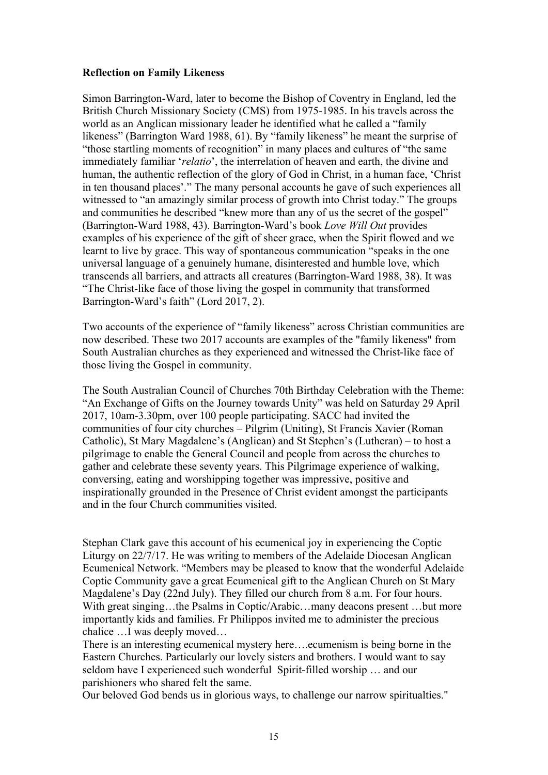## **Reflection on Family Likeness**

Simon Barrington-Ward, later to become the Bishop of Coventry in England, led the British Church Missionary Society (CMS) from 1975-1985. In his travels across the world as an Anglican missionary leader he identified what he called a "family likeness" (Barrington Ward 1988, 61). By "family likeness" he meant the surprise of "those startling moments of recognition" in many places and cultures of "the same immediately familiar '*relatio*', the interrelation of heaven and earth, the divine and human, the authentic reflection of the glory of God in Christ, in a human face, 'Christ in ten thousand places'." The many personal accounts he gave of such experiences all witnessed to "an amazingly similar process of growth into Christ today." The groups and communities he described "knew more than any of us the secret of the gospel" (Barrington-Ward 1988, 43). Barrington-Ward's book *Love Will Out* provides examples of his experience of the gift of sheer grace, when the Spirit flowed and we learnt to live by grace. This way of spontaneous communication "speaks in the one universal language of a genuinely humane, disinterested and humble love, which transcends all barriers, and attracts all creatures (Barrington-Ward 1988, 38). It was "The Christ-like face of those living the gospel in community that transformed Barrington-Ward's faith" (Lord 2017, 2).

Two accounts of the experience of "family likeness" across Christian communities are now described. These two 2017 accounts are examples of the "family likeness" from South Australian churches as they experienced and witnessed the Christ-like face of those living the Gospel in community.

The South Australian Council of Churches 70th Birthday Celebration with the Theme: "An Exchange of Gifts on the Journey towards Unity" was held on Saturday 29 April 2017, 10am-3.30pm, over 100 people participating. SACC had invited the communities of four city churches – Pilgrim (Uniting), St Francis Xavier (Roman Catholic), St Mary Magdalene's (Anglican) and St Stephen's (Lutheran) – to host a pilgrimage to enable the General Council and people from across the churches to gather and celebrate these seventy years. This Pilgrimage experience of walking, conversing, eating and worshipping together was impressive, positive and inspirationally grounded in the Presence of Christ evident amongst the participants and in the four Church communities visited.

Stephan Clark gave this account of his ecumenical joy in experiencing the Coptic Liturgy on 22/7/17. He was writing to members of the Adelaide Diocesan Anglican Ecumenical Network. "Members may be pleased to know that the wonderful Adelaide Coptic Community gave a great Ecumenical gift to the Anglican Church on St Mary Magdalene's Day (22nd July). They filled our church from 8 a.m. For four hours. With great singing...the Psalms in Coptic/Arabic...many deacons present ...but more importantly kids and families. Fr Philippos invited me to administer the precious chalice …I was deeply moved…

There is an interesting ecumenical mystery here….ecumenism is being borne in the Eastern Churches. Particularly our lovely sisters and brothers. I would want to say seldom have I experienced such wonderful Spirit-filled worship … and our parishioners who shared felt the same.

Our beloved God bends us in glorious ways, to challenge our narrow spiritualties."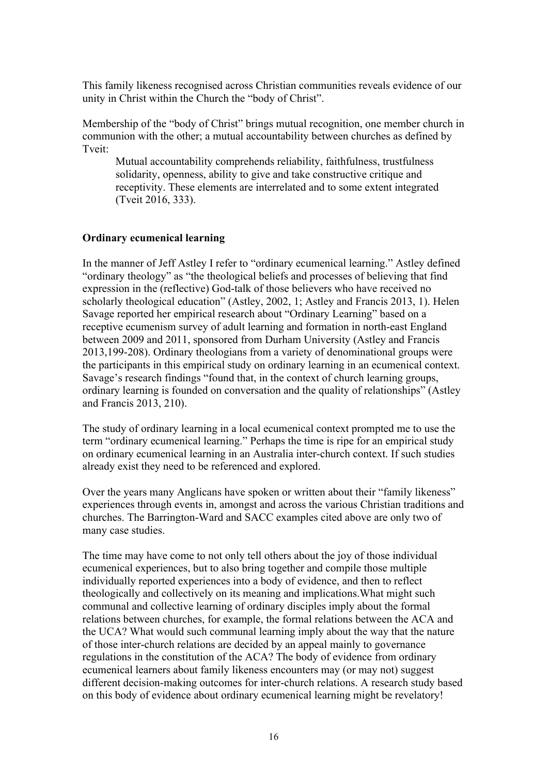This family likeness recognised across Christian communities reveals evidence of our unity in Christ within the Church the "body of Christ".

Membership of the "body of Christ" brings mutual recognition, one member church in communion with the other; a mutual accountability between churches as defined by Tveit:

 Mutual accountability comprehends reliability, faithfulness, trustfulness solidarity, openness, ability to give and take constructive critique and receptivity. These elements are interrelated and to some extent integrated (Tveit 2016, 333).

#### **Ordinary ecumenical learning**

In the manner of Jeff Astley I refer to "ordinary ecumenical learning." Astley defined "ordinary theology" as "the theological beliefs and processes of believing that find expression in the (reflective) God-talk of those believers who have received no scholarly theological education" (Astley, 2002, 1; Astley and Francis 2013, 1). Helen Savage reported her empirical research about "Ordinary Learning" based on a receptive ecumenism survey of adult learning and formation in north-east England between 2009 and 2011, sponsored from Durham University (Astley and Francis 2013,199-208). Ordinary theologians from a variety of denominational groups were the participants in this empirical study on ordinary learning in an ecumenical context. Savage's research findings "found that, in the context of church learning groups, ordinary learning is founded on conversation and the quality of relationships" (Astley and Francis 2013, 210).

The study of ordinary learning in a local ecumenical context prompted me to use the term "ordinary ecumenical learning." Perhaps the time is ripe for an empirical study on ordinary ecumenical learning in an Australia inter-church context. If such studies already exist they need to be referenced and explored.

Over the years many Anglicans have spoken or written about their "family likeness" experiences through events in, amongst and across the various Christian traditions and churches. The Barrington-Ward and SACC examples cited above are only two of many case studies.

The time may have come to not only tell others about the joy of those individual ecumenical experiences, but to also bring together and compile those multiple individually reported experiences into a body of evidence, and then to reflect theologically and collectively on its meaning and implications.What might such communal and collective learning of ordinary disciples imply about the formal relations between churches, for example, the formal relations between the ACA and the UCA? What would such communal learning imply about the way that the nature of those inter-church relations are decided by an appeal mainly to governance regulations in the constitution of the ACA? The body of evidence from ordinary ecumenical learners about family likeness encounters may (or may not) suggest different decision-making outcomes for inter-church relations. A research study based on this body of evidence about ordinary ecumenical learning might be revelatory!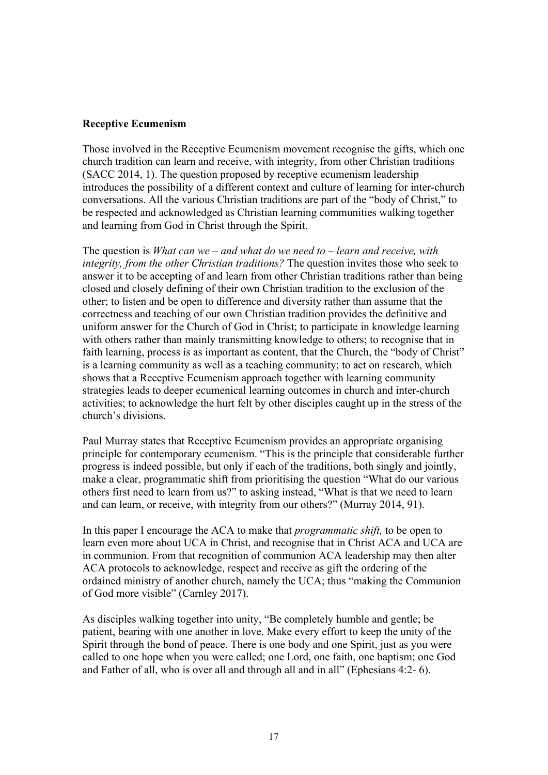### **Receptive Ecumenism**

Those involved in the Receptive Ecumenism movement recognise the gifts, which one church tradition can learn and receive, with integrity, from other Christian traditions (SACC 2014, 1). The question proposed by receptive ecumenism leadership introduces the possibility of a different context and culture of learning for inter-church conversations. All the various Christian traditions are part of the "body of Christ," to be respected and acknowledged as Christian learning communities walking together and learning from God in Christ through the Spirit.

The question is *What can we – and what do we need to – learn and receive, with integrity, from the other Christian traditions?* The question invites those who seek to answer it to be accepting of and learn from other Christian traditions rather than being closed and closely defining of their own Christian tradition to the exclusion of the other; to listen and be open to difference and diversity rather than assume that the correctness and teaching of our own Christian tradition provides the definitive and uniform answer for the Church of God in Christ; to participate in knowledge learning with others rather than mainly transmitting knowledge to others; to recognise that in faith learning, process is as important as content, that the Church, the "body of Christ" is a learning community as well as a teaching community; to act on research, which shows that a Receptive Ecumenism approach together with learning community strategies leads to deeper ecumenical learning outcomes in church and inter-church activities; to acknowledge the hurt felt by other disciples caught up in the stress of the church's divisions.

Paul Murray states that Receptive Ecumenism provides an appropriate organising principle for contemporary ecumenism. "This is the principle that considerable further progress is indeed possible, but only if each of the traditions, both singly and jointly, make a clear, programmatic shift from prioritising the question "What do our various others first need to learn from us?" to asking instead, "What is that we need to learn and can learn, or receive, with integrity from our others?" (Murray 2014, 91).

In this paper I encourage the ACA to make that *programmatic shift,* to be open to learn even more about UCA in Christ, and recognise that in Christ ACA and UCA are in communion. From that recognition of communion ACA leadership may then alter ACA protocols to acknowledge, respect and receive as gift the ordering of the ordained ministry of another church, namely the UCA; thus "making the Communion of God more visible" (Carnley 2017).

As disciples walking together into unity, "Be completely humble and gentle; be patient, bearing with one another in love. Make every effort to keep the unity of the Spirit through the bond of peace. There is one body and one Spirit, just as you were called to one hope when you were called; one Lord, one faith, one baptism; one God and Father of all, who is over all and through all and in all" (Ephesians 4:2- 6).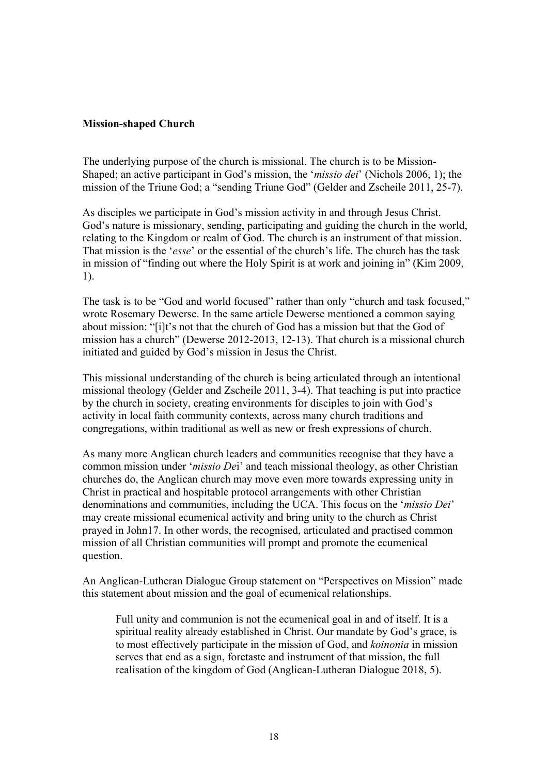### **Mission-shaped Church**

The underlying purpose of the church is missional. The church is to be Mission-Shaped; an active participant in God's mission, the '*missio dei*' (Nichols 2006, 1); the mission of the Triune God; a "sending Triune God" (Gelder and Zscheile 2011, 25-7).

As disciples we participate in God's mission activity in and through Jesus Christ. God's nature is missionary, sending, participating and guiding the church in the world, relating to the Kingdom or realm of God. The church is an instrument of that mission. That mission is the '*esse*' or the essential of the church's life. The church has the task in mission of "finding out where the Holy Spirit is at work and joining in" (Kim 2009, 1).

The task is to be "God and world focused" rather than only "church and task focused," wrote Rosemary Dewerse. In the same article Dewerse mentioned a common saying about mission: "[i]t's not that the church of God has a mission but that the God of mission has a church" (Dewerse 2012-2013, 12-13). That church is a missional church initiated and guided by God's mission in Jesus the Christ.

This missional understanding of the church is being articulated through an intentional missional theology (Gelder and Zscheile 2011, 3-4). That teaching is put into practice by the church in society, creating environments for disciples to join with God's activity in local faith community contexts, across many church traditions and congregations, within traditional as well as new or fresh expressions of church.

As many more Anglican church leaders and communities recognise that they have a common mission under '*missio De*i' and teach missional theology, as other Christian churches do, the Anglican church may move even more towards expressing unity in Christ in practical and hospitable protocol arrangements with other Christian denominations and communities, including the UCA. This focus on the '*missio Dei*' may create missional ecumenical activity and bring unity to the church as Christ prayed in John17. In other words, the recognised, articulated and practised common mission of all Christian communities will prompt and promote the ecumenical question.

An Anglican-Lutheran Dialogue Group statement on "Perspectives on Mission" made this statement about mission and the goal of ecumenical relationships.

Full unity and communion is not the ecumenical goal in and of itself. It is a spiritual reality already established in Christ. Our mandate by God's grace, is to most effectively participate in the mission of God, and *koinonia* in mission serves that end as a sign, foretaste and instrument of that mission, the full realisation of the kingdom of God (Anglican-Lutheran Dialogue 2018, 5).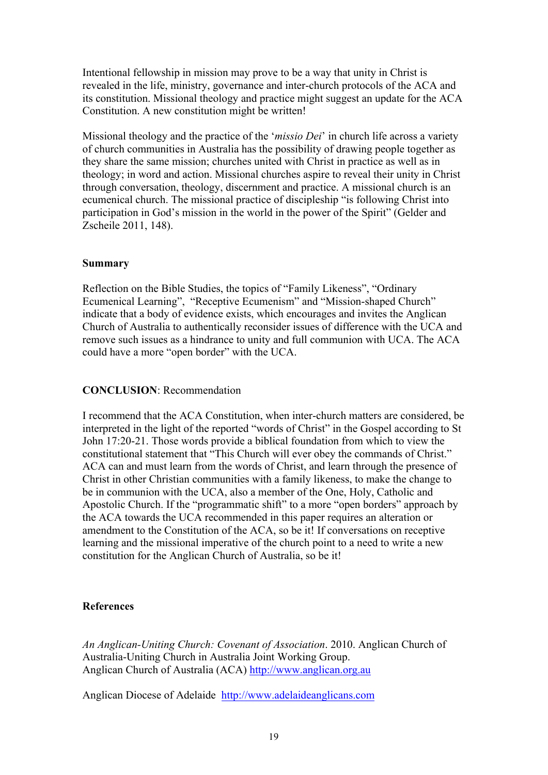Intentional fellowship in mission may prove to be a way that unity in Christ is revealed in the life, ministry, governance and inter-church protocols of the ACA and its constitution. Missional theology and practice might suggest an update for the ACA Constitution. A new constitution might be written!

Missional theology and the practice of the '*missio Dei*' in church life across a variety of church communities in Australia has the possibility of drawing people together as they share the same mission; churches united with Christ in practice as well as in theology; in word and action. Missional churches aspire to reveal their unity in Christ through conversation, theology, discernment and practice. A missional church is an ecumenical church. The missional practice of discipleship "is following Christ into participation in God's mission in the world in the power of the Spirit" (Gelder and Zscheile 2011, 148).

### **Summary**

Reflection on the Bible Studies, the topics of "Family Likeness", "Ordinary Ecumenical Learning", "Receptive Ecumenism" and "Mission-shaped Church" indicate that a body of evidence exists, which encourages and invites the Anglican Church of Australia to authentically reconsider issues of difference with the UCA and remove such issues as a hindrance to unity and full communion with UCA. The ACA could have a more "open border" with the UCA.

### **CONCLUSION**: Recommendation

I recommend that the ACA Constitution, when inter-church matters are considered, be interpreted in the light of the reported "words of Christ" in the Gospel according to St John 17:20-21. Those words provide a biblical foundation from which to view the constitutional statement that "This Church will ever obey the commands of Christ." ACA can and must learn from the words of Christ, and learn through the presence of Christ in other Christian communities with a family likeness, to make the change to be in communion with the UCA, also a member of the One, Holy, Catholic and Apostolic Church. If the "programmatic shift" to a more "open borders" approach by the ACA towards the UCA recommended in this paper requires an alteration or amendment to the Constitution of the ACA, so be it! If conversations on receptive learning and the missional imperative of the church point to a need to write a new constitution for the Anglican Church of Australia, so be it!

#### **References**

*An Anglican-Uniting Church: Covenant of Association*. 2010. Anglican Church of Australia-Uniting Church in Australia Joint Working Group. Anglican Church of Australia (ACA) http://www.anglican.org.au

Anglican Diocese of Adelaide http://www.adelaideanglicans.com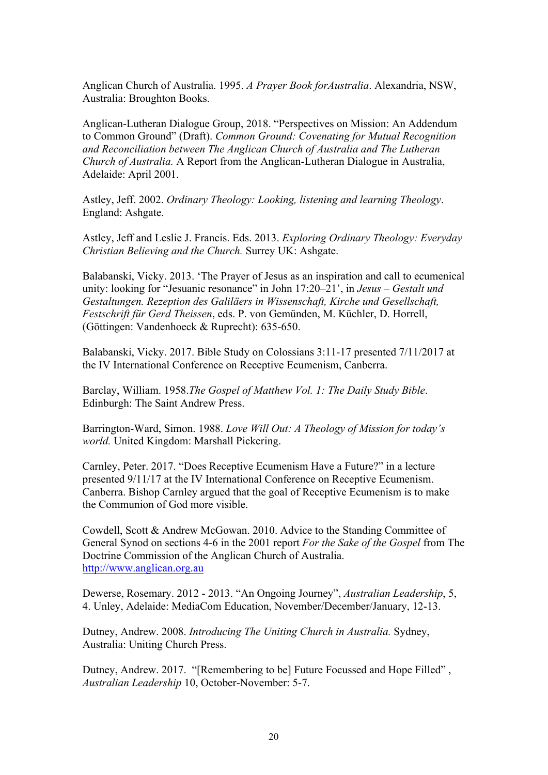Anglican Church of Australia. 1995. *A Prayer Book forAustralia*. Alexandria, NSW, Australia: Broughton Books.

Anglican-Lutheran Dialogue Group, 2018. "Perspectives on Mission: An Addendum to Common Ground" (Draft). *Common Ground: Covenating for Mutual Recognition and Reconciliation between The Anglican Church of Australia and The Lutheran Church of Australia.* A Report from the Anglican-Lutheran Dialogue in Australia, Adelaide: April 2001.

Astley, Jeff. 2002. *Ordinary Theology: Looking, listening and learning Theology*. England: Ashgate.

Astley, Jeff and Leslie J. Francis. Eds. 2013. *Exploring Ordinary Theology: Everyday Christian Believing and the Church.* Surrey UK: Ashgate.

Balabanski, Vicky. 2013. 'The Prayer of Jesus as an inspiration and call to ecumenical unity: looking for "Jesuanic resonance" in John 17:20–21', in *Jesus – Gestalt und Gestaltungen. Rezeption des Galiläers in Wissenschaft, Kirche und Gesellschaft, Festschrift für Gerd Theissen*, eds. P. von Gemünden, M. Küchler, D. Horrell, (Göttingen: Vandenhoeck & Ruprecht): 635-650.

Balabanski, Vicky. 2017. Bible Study on Colossians 3:11-17 presented 7/11/2017 at the IV International Conference on Receptive Ecumenism, Canberra.

Barclay, William. 1958.*The Gospel of Matthew Vol. 1: The Daily Study Bible*. Edinburgh: The Saint Andrew Press.

Barrington-Ward, Simon. 1988. *Love Will Out: A Theology of Mission for today's world.* United Kingdom: Marshall Pickering.

Carnley, Peter. 2017. "Does Receptive Ecumenism Have a Future?" in a lecture presented 9/11/17 at the IV International Conference on Receptive Ecumenism. Canberra. Bishop Carnley argued that the goal of Receptive Ecumenism is to make the Communion of God more visible.

Cowdell, Scott & Andrew McGowan. 2010. Advice to the Standing Committee of General Synod on sections 4-6 in the 2001 report *For the Sake of the Gospel* from The Doctrine Commission of the Anglican Church of Australia. http://www.anglican.org.au

Dewerse, Rosemary. 2012 - 2013. "An Ongoing Journey", *Australian Leadership*, 5, 4. Unley, Adelaide: MediaCom Education, November/December/January, 12-13.

Dutney, Andrew. 2008. *Introducing The Uniting Church in Australia.* Sydney, Australia: Uniting Church Press.

Dutney, Andrew. 2017. "[Remembering to be] Future Focussed and Hope Filled" , *Australian Leadership* 10, October-November: 5-7.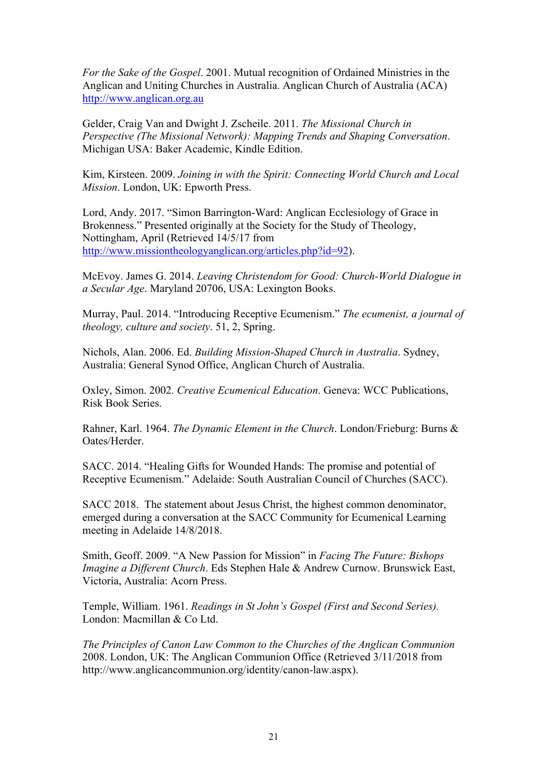*For the Sake of the Gospel*. 2001. Mutual recognition of Ordained Ministries in the Anglican and Uniting Churches in Australia. Anglican Church of Australia (ACA) http://www.anglican.org.au

Gelder, Craig Van and Dwight J. Zscheile. 2011. *The Missional Church in Perspective (The Missional Network): Mapping Trends and Shaping Conversation*. Michigan USA: Baker Academic, Kindle Edition.

Kim, Kirsteen. 2009. *Joining in with the Spirit: Connecting World Church and Local Mission*. London, UK: Epworth Press.

Lord, Andy. 2017. "Simon Barrington-Ward: Anglican Ecclesiology of Grace in Brokenness." Presented originally at the Society for the Study of Theology, Nottingham, April (Retrieved 14/5/17 from http://www.missiontheologyanglican.org/articles.php?id=92).

McEvoy. James G. 2014. *Leaving Christendom for Good: Church-World Dialogue in a Secular Age*. Maryland 20706, USA: Lexington Books.

Murray, Paul. 2014. "Introducing Receptive Ecumenism." *The ecumenist, a journal of theology, culture and society*. 51, 2, Spring.

Nichols, Alan. 2006. Ed. *Building Mission-Shaped Church in Australia*. Sydney, Australia: General Synod Office, Anglican Church of Australia.

Oxley, Simon. 2002. *Creative Ecumenical Education*. Geneva: WCC Publications, Risk Book Series.

Rahner, Karl. 1964. *The Dynamic Element in the Church*. London/Frieburg: Burns & Oates/Herder.

SACC. 2014. "Healing Gifts for Wounded Hands: The promise and potential of Receptive Ecumenism." Adelaide: South Australian Council of Churches (SACC).

SACC 2018. The statement about Jesus Christ, the highest common denominator, emerged during a conversation at the SACC Community for Ecumenical Learning meeting in Adelaide 14/8/2018.

Smith, Geoff. 2009. "A New Passion for Mission" in *Facing The Future: Bishops Imagine a Different Church*. Eds Stephen Hale & Andrew Curnow. Brunswick East, Victoria, Australia: Acorn Press.

Temple, William. 1961. *Readings in St John's Gospel (First and Second Series).* London: Macmillan & Co Ltd.

*The Principles of Canon Law Common to the Churches of the Anglican Communion* 2008. London, UK: The Anglican Communion Office (Retrieved 3/11/2018 from http://www.anglicancommunion.org/identity/canon-law.aspx).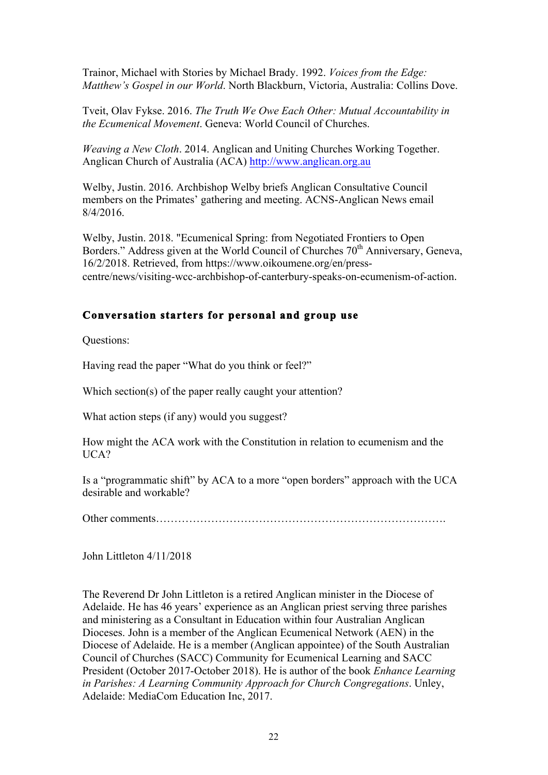Trainor, Michael with Stories by Michael Brady. 1992. *Voices from the Edge: Matthew's Gospel in our World*. North Blackburn, Victoria, Australia: Collins Dove.

Tveit, Olav Fykse. 2016. *The Truth We Owe Each Other: Mutual Accountability in the Ecumenical Movement*. Geneva: World Council of Churches.

*Weaving a New Cloth*. 2014. Anglican and Uniting Churches Working Together. Anglican Church of Australia (ACA) http://www.anglican.org.au

Welby, Justin. 2016. Archbishop Welby briefs Anglican Consultative Council members on the Primates' gathering and meeting. ACNS-Anglican News email 8/4/2016.

Welby, Justin. 2018. "Ecumenical Spring: from Negotiated Frontiers to Open Borders." Address given at the World Council of Churches 70<sup>th</sup> Anniversary, Geneva, 16/2/2018. Retrieved, from https://www.oikoumene.org/en/presscentre/news/visiting-wcc-archbishop-of-canterbury-speaks-on-ecumenism-of-action.

# **Conversation starters for personal and group use**

Questions:

Having read the paper "What do you think or feel?"

Which section(s) of the paper really caught your attention?

What action steps (if any) would you suggest?

How might the ACA work with the Constitution in relation to ecumenism and the UCA?

Is a "programmatic shift" by ACA to a more "open borders" approach with the UCA desirable and workable?

Other comments…………………………………………………………………….

John Littleton 4/11/2018

The Reverend Dr John Littleton is a retired Anglican minister in the Diocese of Adelaide. He has 46 years' experience as an Anglican priest serving three parishes and ministering as a Consultant in Education within four Australian Anglican Dioceses. John is a member of the Anglican Ecumenical Network (AEN) in the Diocese of Adelaide. He is a member (Anglican appointee) of the South Australian Council of Churches (SACC) Community for Ecumenical Learning and SACC President (October 2017-October 2018). He is author of the book *Enhance Learning in Parishes: A Learning Community Approach for Church Congregations*. Unley, Adelaide: MediaCom Education Inc, 2017.